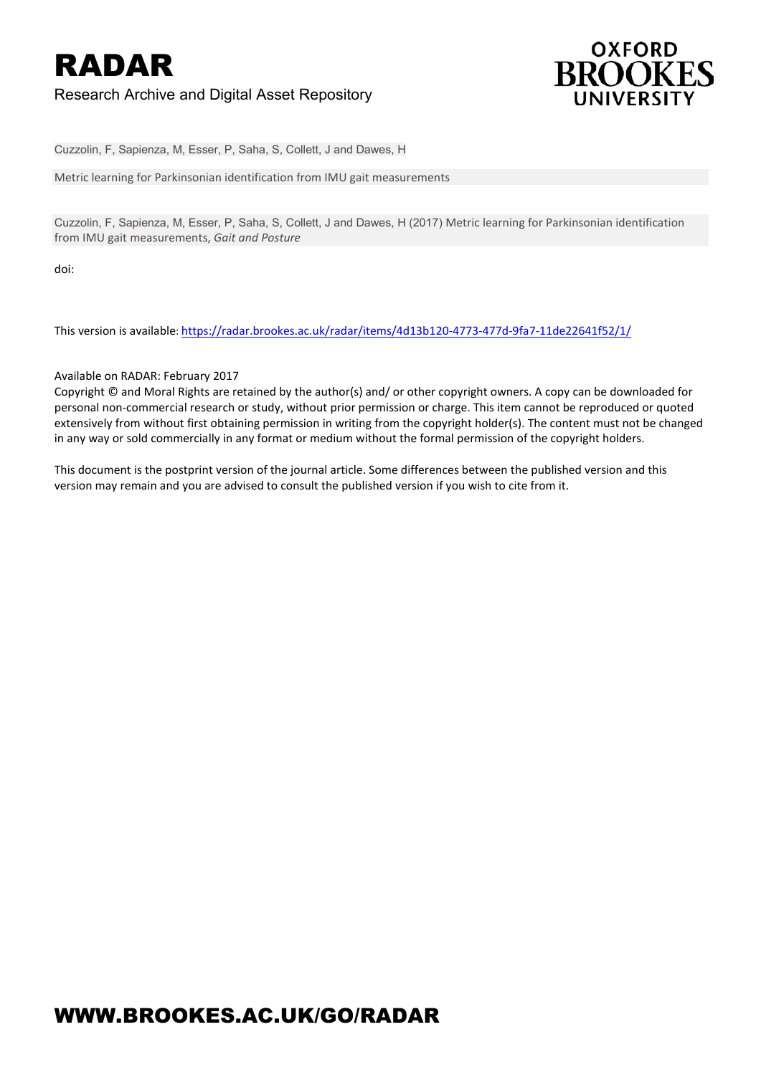

Cuzzolin, F, Sapienza, M, Esser, P, Saha, S, Collett, J and Dawes, H

Metric learning for Parkinsonian identification from IMU gait measurements

Cuzzolin, F, Sapienza, M, Esser, P, Saha, S, Collett, J and Dawes, H (2017) Metric learning for Parkinsonian identification from IMU gait measurements, *Gait and Posture*

doi:

This version is available:<https://radar.brookes.ac.uk/radar/items/4d13b120-4773-477d-9fa7-11de22641f52/1/>

#### Available on RADAR: February 2017

Copyright © and Moral Rights are retained by the author(s) and/ or other copyright owners. A copy can be downloaded for personal non-commercial research or study, without prior permission or charge. This item cannot be reproduced or quoted extensively from without first obtaining permission in writing from the copyright holder(s). The content must not be changed in any way or sold commercially in any format or medium without the formal permission of the copyright holders.

This document is the postprint version of the journal article. Some differences between the published version and this version may remain and you are advised to consult the published version if you wish to cite from it.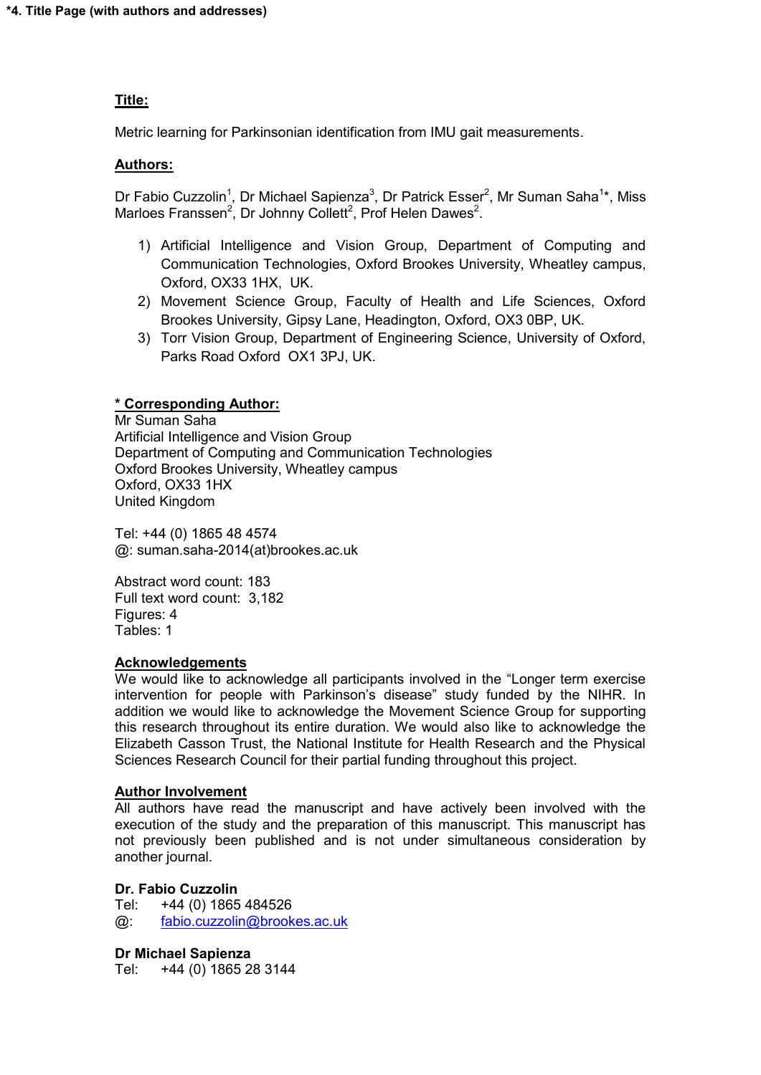#### **Title:**

Metric learning for Parkinsonian identification from IMU gait measurements.

#### **Authors:**

Dr Fabio Cuzzolin<sup>1</sup>, Dr Michael Sapienza<sup>3</sup>, Dr Patrick Esser<sup>2</sup>, Mr Suman Saha<sup>1\*</sup>, Miss Marloes Franssen<sup>2</sup>, Dr Johnny Collett<sup>2</sup>, Prof Helen Dawes<sup>2</sup>.

- 1) Artificial Intelligence and Vision Group, Department of Computing and Communication Technologies, Oxford Brookes University, Wheatley campus, Oxford, OX33 1HX, UK.
- 2) Movement Science Group, Faculty of Health and Life Sciences, Oxford Brookes University, Gipsy Lane, Headington, Oxford, OX3 0BP, UK.
- 3) Torr Vision Group, Department of Engineering Science, University of Oxford, Parks Road Oxford OX1 3PJ, UK.

#### **\* Corresponding Author:**

Mr Suman Saha Artificial Intelligence and Vision Group Department of Computing and Communication Technologies Oxford Brookes University, Wheatley campus Oxford, OX33 1HX United Kingdom

Tel: +44 (0) 1865 48 4574 @: suman.saha-2014(at)brookes.ac.uk

Abstract word count: 183 Full text word count: 3,182 Figures: 4 Tables: 1

#### **Acknowledgements**

We would like to acknowledge all participants involved in the "Longer term exercise intervention for people with Parkinson's disease" study funded by the NIHR. In addition we would like to acknowledge the Movement Science Group for supporting this research throughout its entire duration. We would also like to acknowledge the Elizabeth Casson Trust, the National Institute for Health Research and the Physical Sciences Research Council for their partial funding throughout this project.

#### **Author Involvement**

All authors have read the manuscript and have actively been involved with the execution of the study and the preparation of this manuscript. This manuscript has not previously been published and is not under simultaneous consideration by another journal.

#### **Dr. Fabio Cuzzolin**

Tel: +44 (0) 1865 484526 @: [fabio.cuzzolin@brookes.ac.uk](mailto:fabio.cuzzolin@brookes.ac.uk)

**Dr Michael Sapienza** 

Tel: +44 (0) 1865 28 3144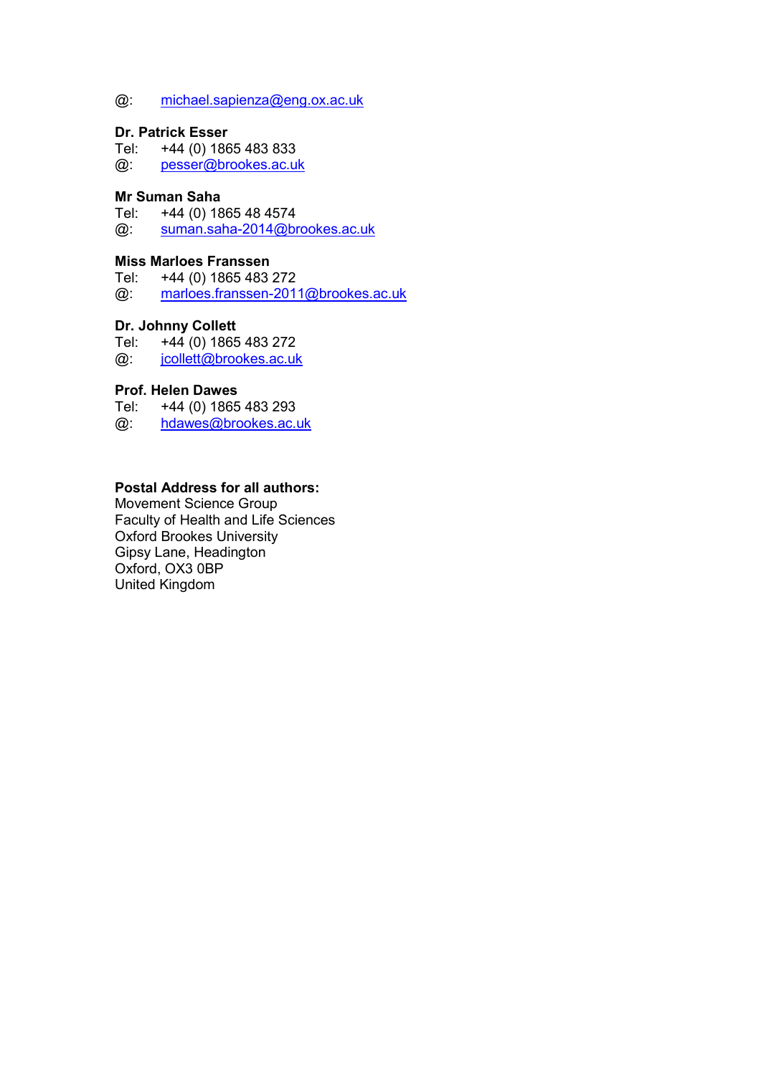#### @: [michael.sapienza@eng.ox.ac.uk](mailto:michael.sapienza@eng.ox.ac.uk)

# **Dr. Patrick Esser**<br>Tel: +44 (0) 186

+44 (0) 1865 483 833 @: [pesser@brookes.ac.uk](mailto:pesser@brookes.ac.uk)

#### **Mr Suman Saha**

Tel: +44 (0) 1865 48 4574

@: [suman.saha-2014@brookes.ac.uk](mailto:suman.saha-2014@brookes.ac.uk)

# **Miss Marloes Franssen**<br>Tel: +44 (0) 1865 483

+44 (0) 1865 483 272

@: [marloes.franssen-2011@brookes.ac.uk](mailto:marloes.franssen-2011@brookes.ac.uk)

# **Dr. Johnny Collett**<br>Tel: +44 (0) 1865

+44 (0) 1865 483 272

@: [jcollett@brookes.ac.uk](mailto:jcollett@brookes.ac.uk)

# **Prof. Helen Dawes**<br>Tel: +44 (0) 1865

+44 (0) 1865 483 293

@: [hdawes@brookes.ac.uk](mailto:hdawes@brookes.ac.uk)

#### **Postal Address for all authors:**

Movement Science Group Faculty of Health and Life Sciences Oxford Brookes University Gipsy Lane, Headington Oxford, OX3 0BP United Kingdom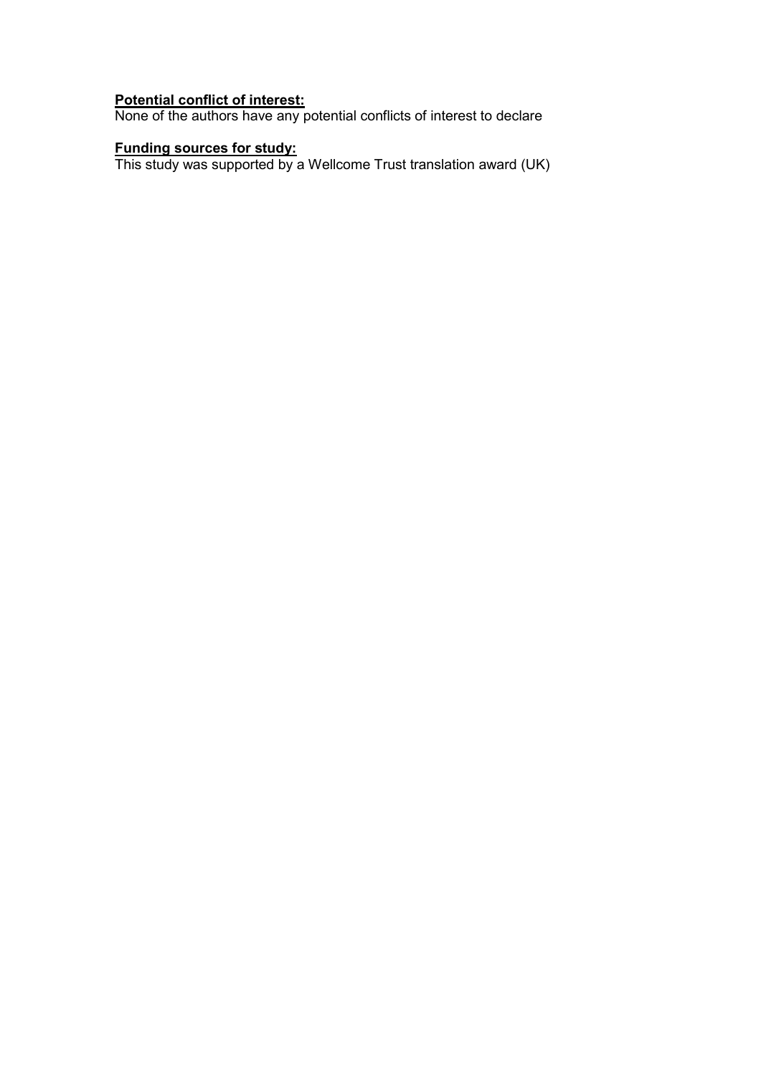#### **Potential conflict of interest:**

None of the authors have any potential conflicts of interest to declare

#### **Funding sources for study:**

This study was supported by a Wellcome Trust translation award (UK)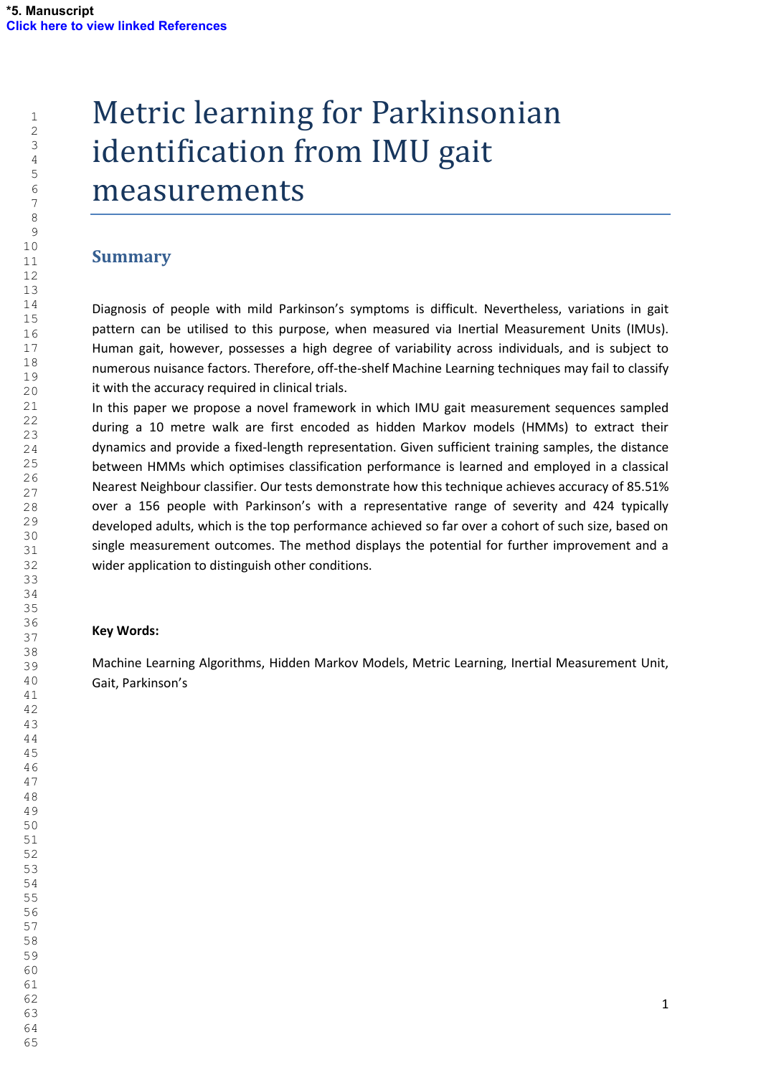# Metric learning for Parkinsonian identification from IMU gait measurements

## **Summary**

Diagnosis of people with mild Parkinson's symptoms is difficult. Nevertheless, variations in gait pattern can be utilised to this purpose, when measured via Inertial Measurement Units (IMUs). Human gait, however, possesses a high degree of variability across individuals, and is subject to numerous nuisance factors. Therefore, off-the-shelf Machine Learning techniques may fail to classify it with the accuracy required in clinical trials.

In this paper we propose a novel framework in which IMU gait measurement sequences sampled during a 10 metre walk are first encoded as hidden Markov models (HMMs) to extract their dynamics and provide a fixed-length representation. Given sufficient training samples, the distance between HMMs which optimises classification performance is learned and employed in a classical Nearest Neighbour classifier. Our tests demonstrate how this technique achieves accuracy of 85.51% over a 156 people with Parkinson's with a representative range of severity and 424 typically developed adults, which is the top performance achieved so far over a cohort of such size, based on single measurement outcomes. The method displays the potential for further improvement and a wider application to distinguish other conditions.

#### **Key Words:**

Machine Learning Algorithms, Hidden Markov Models, Metric Learning, Inertial Measurement Unit, Gait, Parkinson's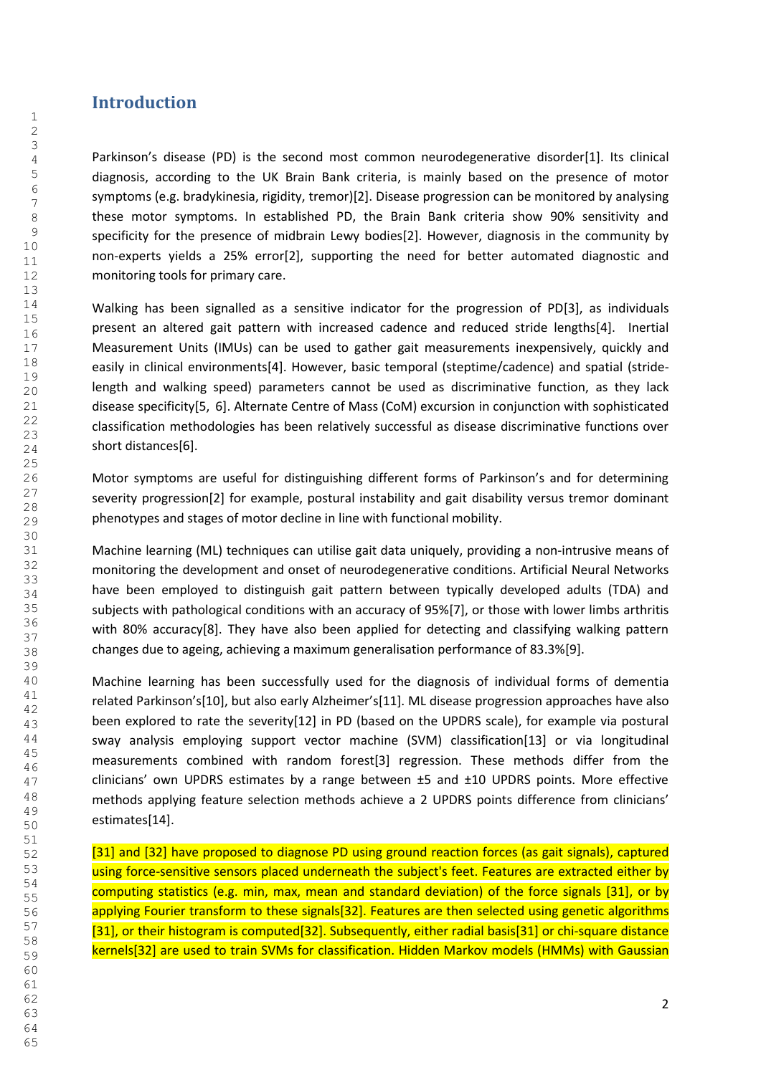## **Introduction**

Parkinson's disease (PD) is the second most common neurodegenerative disorder[1]. Its clinical diagnosis, according to the UK Brain Bank criteria, is mainly based on the presence of motor symptoms (e.g. bradykinesia, rigidity, tremor)[2]. Disease progression can be monitored by analysing these motor symptoms. In established PD, the Brain Bank criteria show 90% sensitivity and specificity for the presence of midbrain Lewy bodies[2]. However, diagnosis in the community by non-experts yields a 25% error[2], supporting the need for better automated diagnostic and monitoring tools for primary care.

Walking has been signalled as a sensitive indicator for the progression of PD[3], as individuals present an altered gait pattern with increased cadence and reduced stride lengths[4]. Inertial Measurement Units (IMUs) can be used to gather gait measurements inexpensively, quickly and easily in clinical environments[4]. However, basic temporal (steptime/cadence) and spatial (stridelength and walking speed) parameters cannot be used as discriminative function, as they lack disease specificity[5, 6]. Alternate Centre of Mass (CoM) excursion in conjunction with sophisticated classification methodologies has been relatively successful as disease discriminative functions over short distances[6].

Motor symptoms are useful for distinguishing different forms of Parkinson's and for determining severity progression[2] for example, postural instability and gait disability versus tremor dominant phenotypes and stages of motor decline in line with functional mobility.

Machine learning (ML) techniques can utilise gait data uniquely, providing a non-intrusive means of monitoring the development and onset of neurodegenerative conditions. Artificial Neural Networks have been employed to distinguish gait pattern between typically developed adults (TDA) and subjects with pathological conditions with an accuracy of 95%[7], or those with lower limbs arthritis with 80% accuracy[8]. They have also been applied for detecting and classifying walking pattern changes due to ageing, achieving a maximum generalisation performance of 83.3%[9].

Machine learning has been successfully used for the diagnosis of individual forms of dementia related Parkinson's[10], but also early Alzheimer's[11]. ML disease progression approaches have also been explored to rate the severity[12] in PD (based on the UPDRS scale), for example via postural sway analysis employing support vector machine (SVM) classification[13] or via longitudinal measurements combined with random forest[3] regression. These methods differ from the clinicians' own UPDRS estimates by a range between ±5 and ±10 UPDRS points. More effective methods applying feature selection methods achieve a 2 UPDRS points difference from clinicians' estimates[14].

[31] and [32] have proposed to diagnose PD using ground reaction forces (as gait signals), captured using force-sensitive sensors placed underneath the subject's feet. Features are extracted either by computing statistics (e.g. min, max, mean and standard deviation) of the force signals [31], or by applying Fourier transform to these signals[32]. Features are then selected using genetic algorithms [31], or their histogram is computed[32]. Subsequently, either radial basis[31] or chi-square distance kernels[32] are used to train SVMs for classification. Hidden Markov models (HMMs) with Gaussian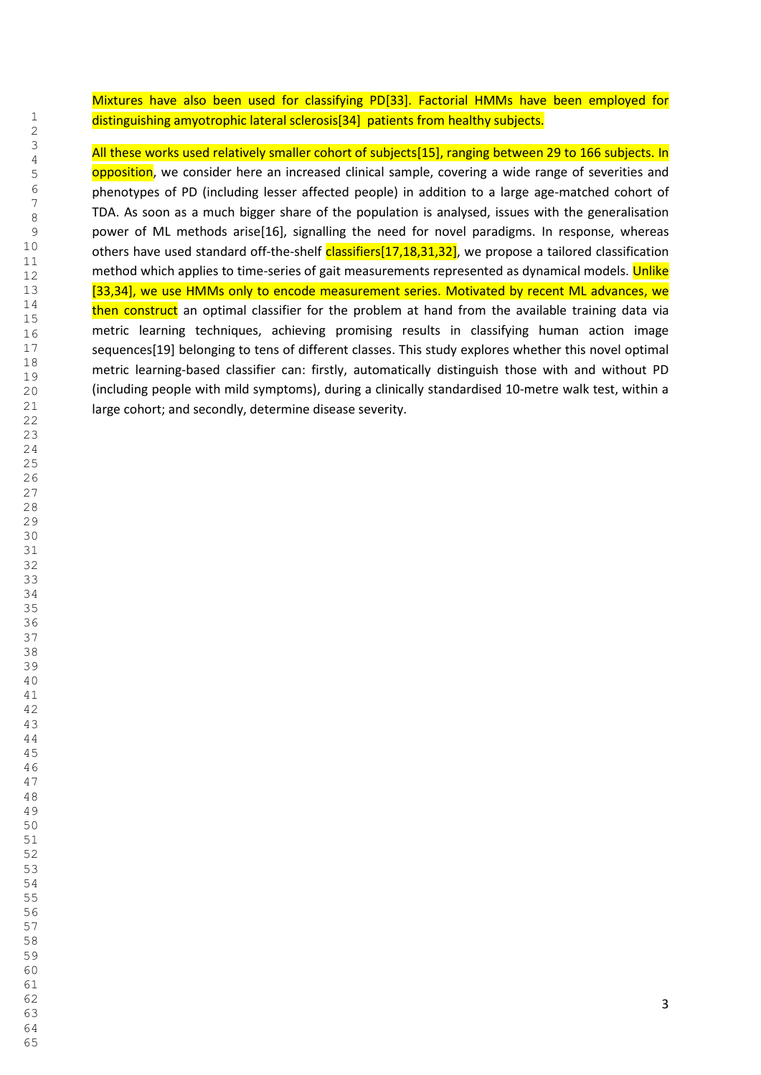Mixtures have also been used for classifying PD[33]. Factorial HMMs have been employed for distinguishing amyotrophic lateral sclerosis<sup>[34]</sup> patients from healthy subjects.

All these works used relatively smaller cohort of subjects[15], ranging between 29 to 166 subjects. In opposition, we consider here an increased clinical sample, covering a wide range of severities and phenotypes of PD (including lesser affected people) in addition to a large age-matched cohort of TDA. As soon as a much bigger share of the population is analysed, issues with the generalisation power of ML methods arise[16], signalling the need for novel paradigms. In response, whereas others have used standard off-the-shelf classifiers[17,18,31,32], we propose a tailored classification method which applies to time-series of gait measurements represented as dynamical models. Unlike [33,34], we use HMMs only to encode measurement series. Motivated by recent ML advances, we then construct an optimal classifier for the problem at hand from the available training data via metric learning techniques, achieving promising results in classifying human action image sequences[19] belonging to tens of different classes. This study explores whether this novel optimal metric learning-based classifier can: firstly, automatically distinguish those with and without PD (including people with mild symptoms), during a clinically standardised 10-metre walk test, within a large cohort; and secondly, determine disease severity.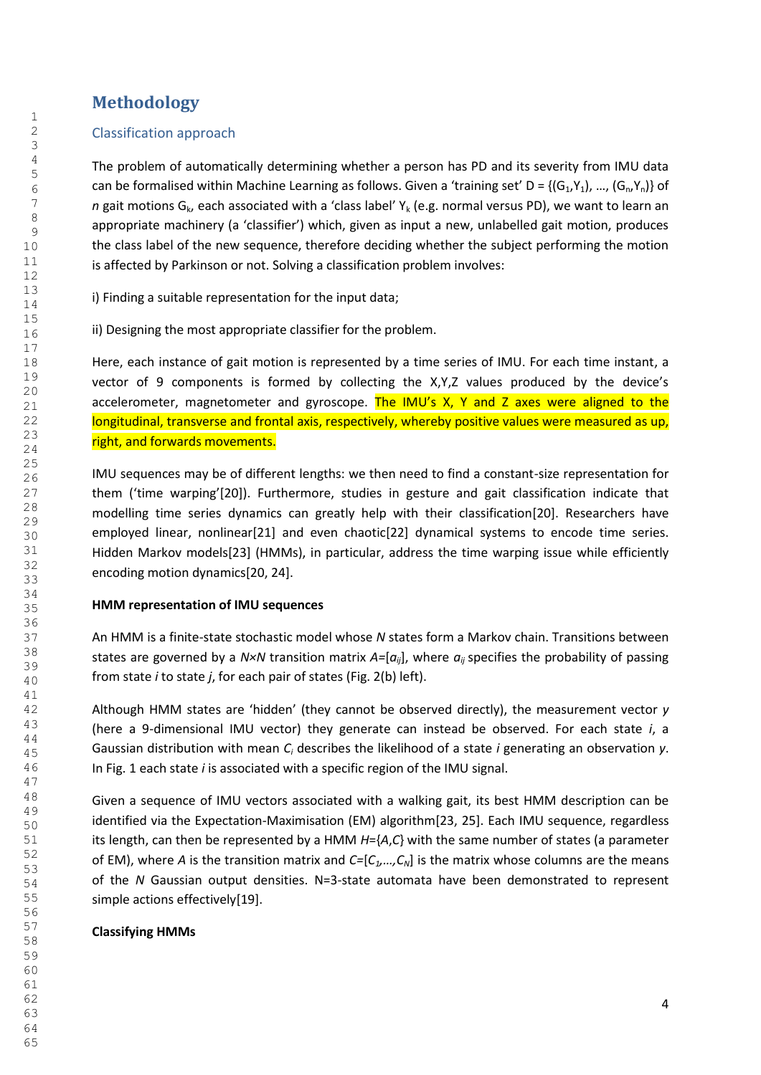# **Methodology**

#### Classification approach

The problem of automatically determining whether a person has PD and its severity from IMU data can be formalised within Machine Learning as follows. Given a 'training set' D = { $(G_1,Y_1)$ , ...,  $(G_n,Y_n)$ } of *n* gait motions G<sub>k</sub>, each associated with a 'class label'  $Y_k$  (e.g. normal versus PD), we want to learn an appropriate machinery (a 'classifier') which, given as input a new, unlabelled gait motion, produces the class label of the new sequence, therefore deciding whether the subject performing the motion is affected by Parkinson or not. Solving a classification problem involves:

i) Finding a suitable representation for the input data;

ii) Designing the most appropriate classifier for the problem.

Here, each instance of gait motion is represented by a time series of IMU. For each time instant, a vector of 9 components is formed by collecting the X,Y,Z values produced by the device's accelerometer, magnetometer and gyroscope. The IMU's X, Y and Z axes were aligned to the longitudinal, transverse and frontal axis, respectively, whereby positive values were measured as up, right, and forwards movements.

IMU sequences may be of different lengths: we then need to find a constant-size representation for them ('time warping'[20]). Furthermore, studies in gesture and gait classification indicate that modelling time series dynamics can greatly help with their classification[20]. Researchers have employed linear, nonlinear[21] and even chaotic[22] dynamical systems to encode time series. Hidden Markov models[23] (HMMs), in particular, address the time warping issue while efficiently encoding motion dynamics[20, 24].

#### **HMM representation of IMU sequences**

An HMM is a finite-state stochastic model whose *N* states form a Markov chain. Transitions between states are governed by a  $N \times N$  transition matrix  $A = [a_{ii}]$ , where  $a_{ii}$  specifies the probability of passing from state *i* to state *j*, for each pair of states (Fig. 2(b) left).

Although HMM states are 'hidden' (they cannot be observed directly), the measurement vector *y* (here a 9-dimensional IMU vector) they generate can instead be observed. For each state *i*, a Gaussian distribution with mean C<sub>i</sub> describes the likelihood of a state *i* generating an observation y. In Fig. 1 each state *i* is associated with a specific region of the IMU signal.

Given a sequence of IMU vectors associated with a walking gait, its best HMM description can be identified via the Expectation-Maximisation (EM) algorithm[23, 25]. Each IMU sequence, regardless its length, can then be represented by a HMM *H*={*A*,*C*} with the same number of states (a parameter of EM), where *A* is the transition matrix and *C=*[*C1,…,CN*] is the matrix whose columns are the means of the *N* Gaussian output densities. N=3-state automata have been demonstrated to represent simple actions effectively[19].

### **Classifying HMMs**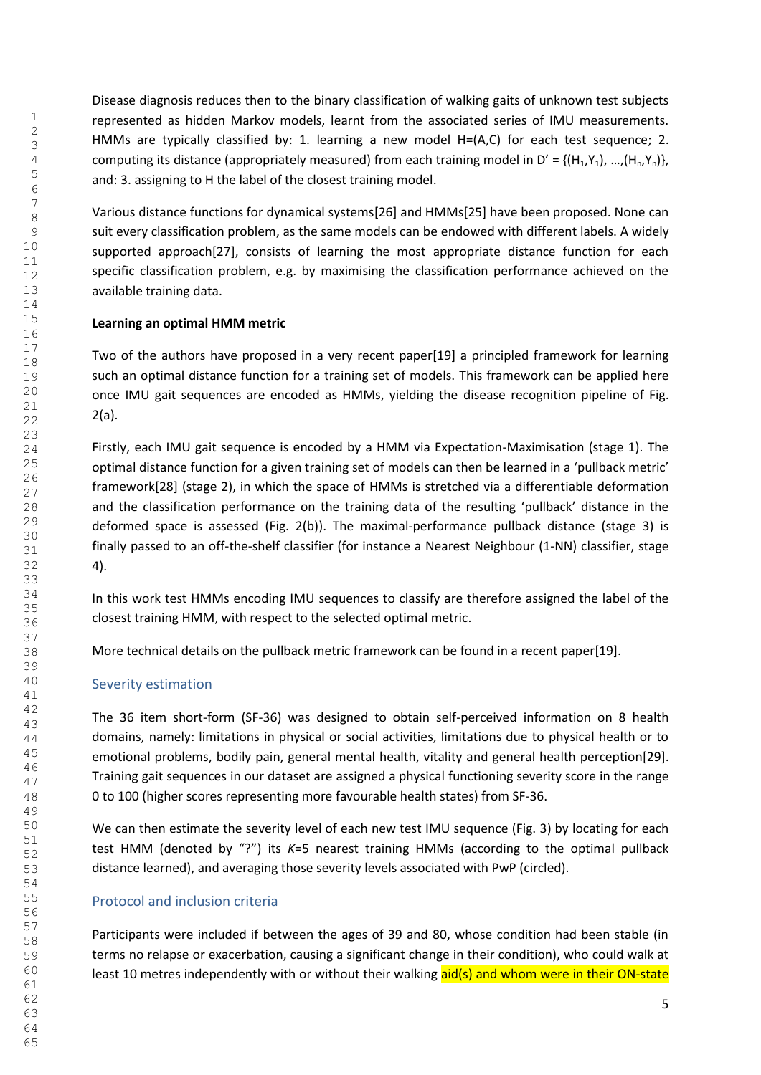Disease diagnosis reduces then to the binary classification of walking gaits of unknown test subjects represented as hidden Markov models, learnt from the associated series of IMU measurements. HMMs are typically classified by: 1. learning a new model  $H=(A,C)$  for each test sequence; 2. computing its distance (appropriately measured) from each training model in D' = { $(H_1,Y_1), ..., (H_n,Y_n)$ }, and: 3. assigning to H the label of the closest training model.

Various distance functions for dynamical systems[26] and HMMs[25] have been proposed. None can suit every classification problem, as the same models can be endowed with different labels. A widely supported approach[27], consists of learning the most appropriate distance function for each specific classification problem, e.g. by maximising the classification performance achieved on the available training data.

#### **Learning an optimal HMM metric**

Two of the authors have proposed in a very recent paper[19] a principled framework for learning such an optimal distance function for a training set of models. This framework can be applied here once IMU gait sequences are encoded as HMMs, yielding the disease recognition pipeline of Fig. 2(a).

Firstly, each IMU gait sequence is encoded by a HMM via Expectation-Maximisation (stage 1). The optimal distance function for a given training set of models can then be learned in a 'pullback metric' framework[28] (stage 2), in which the space of HMMs is stretched via a differentiable deformation and the classification performance on the training data of the resulting 'pullback' distance in the deformed space is assessed (Fig. 2(b)). The maximal-performance pullback distance (stage 3) is finally passed to an off-the-shelf classifier (for instance a Nearest Neighbour (1-NN) classifier, stage 4).

In this work test HMMs encoding IMU sequences to classify are therefore assigned the label of the closest training HMM, with respect to the selected optimal metric.

More technical details on the pullback metric framework can be found in a recent paper[19].

#### Severity estimation

The 36 item short-form (SF-36) was designed to obtain self-perceived information on 8 health domains, namely: limitations in physical or social activities, limitations due to physical health or to emotional problems, bodily pain, general mental health, vitality and general health perception[29]. Training gait sequences in our dataset are assigned a physical functioning severity score in the range 0 to 100 (higher scores representing more favourable health states) from SF-36.

We can then estimate the severity level of each new test IMU sequence (Fig. 3) by locating for each test HMM (denoted by "?") its *K*=5 nearest training HMMs (according to the optimal pullback distance learned), and averaging those severity levels associated with PwP (circled).

#### Protocol and inclusion criteria

Participants were included if between the ages of 39 and 80, whose condition had been stable (in terms no relapse or exacerbation, causing a significant change in their condition), who could walk at least 10 metres independently with or without their walking aid(s) and whom were in their ON-state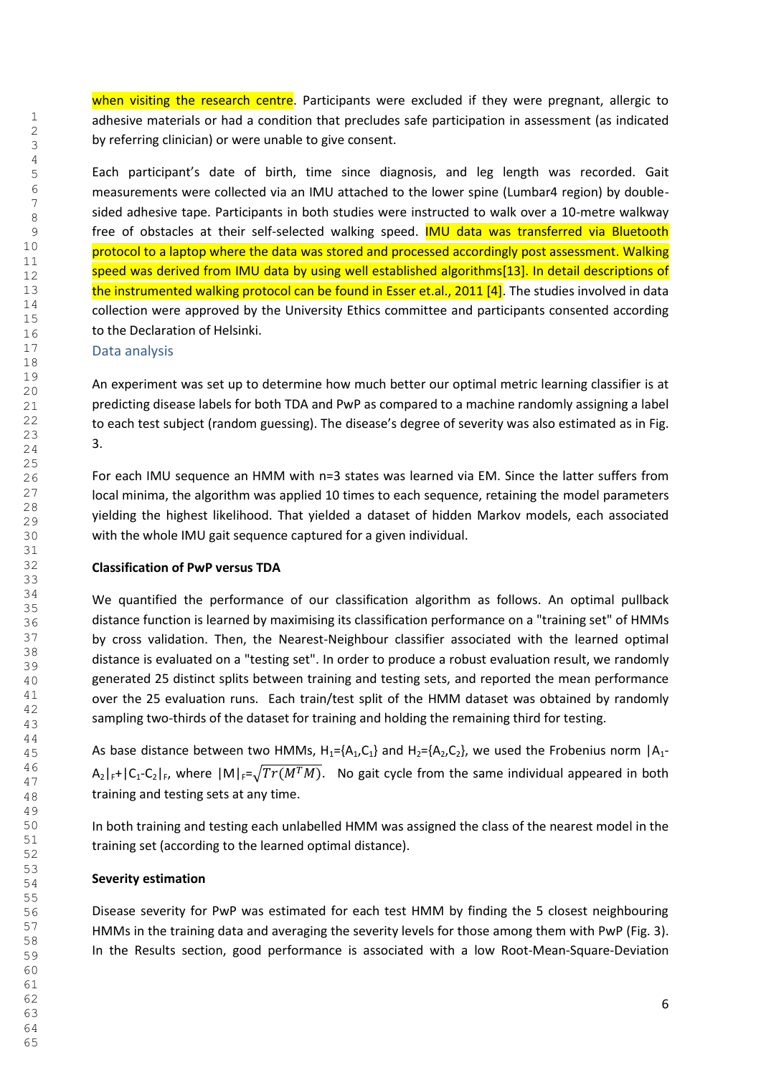when visiting the research centre. Participants were excluded if they were pregnant, allergic to adhesive materials or had a condition that precludes safe participation in assessment (as indicated by referring clinician) or were unable to give consent.

Each participant's date of birth, time since diagnosis, and leg length was recorded. Gait measurements were collected via an IMU attached to the lower spine (Lumbar4 region) by doublesided adhesive tape. Participants in both studies were instructed to walk over a 10-metre walkway free of obstacles at their self-selected walking speed. **IMU data was transferred via Bluetooth** protocol to a laptop where the data was stored and processed accordingly post assessment. Walking speed was derived from IMU data by using well established algorithms[13]. In detail descriptions of the instrumented walking protocol can be found in Esser et.al., 2011 [4]. The studies involved in data collection were approved by the University Ethics committee and participants consented according to the Declaration of Helsinki.

#### Data analysis

An experiment was set up to determine how much better our optimal metric learning classifier is at predicting disease labels for both TDA and PwP as compared to a machine randomly assigning a label to each test subject (random guessing). The disease's degree of severity was also estimated as in Fig. 3.

For each IMU sequence an HMM with n=3 states was learned via EM. Since the latter suffers from local minima, the algorithm was applied 10 times to each sequence, retaining the model parameters yielding the highest likelihood. That yielded a dataset of hidden Markov models, each associated with the whole IMU gait sequence captured for a given individual.

#### **Classification of PwP versus TDA**

We quantified the performance of our classification algorithm as follows. An optimal pullback distance function is learned by maximising its classification performance on a "training set" of HMMs by cross validation. Then, the Nearest-Neighbour classifier associated with the learned optimal distance is evaluated on a "testing set". In order to produce a robust evaluation result, we randomly generated 25 distinct splits between training and testing sets, and reported the mean performance over the 25 evaluation runs. Each train/test split of the HMM dataset was obtained by randomly sampling two-thirds of the dataset for training and holding the remaining third for testing.

As base distance between two HMMs,  $H_1 = \{A_1, C_1\}$  and  $H_2 = \{A_2, C_2\}$ , we used the Frobenius norm  $|A_1 - A_2|$  $A_2|_{F^+}|C_1-C_2|_F$ , where  $|M|_{F^+}\sqrt{Tr(M^TM)}$ . No gait cycle from the same individual appeared in both training and testing sets at any time.

In both training and testing each unlabelled HMM was assigned the class of the nearest model in the training set (according to the learned optimal distance).

#### **Severity estimation**

Disease severity for PwP was estimated for each test HMM by finding the 5 closest neighbouring HMMs in the training data and averaging the severity levels for those among them with PwP (Fig. 3). In the Results section, good performance is associated with a low Root-Mean-Square-Deviation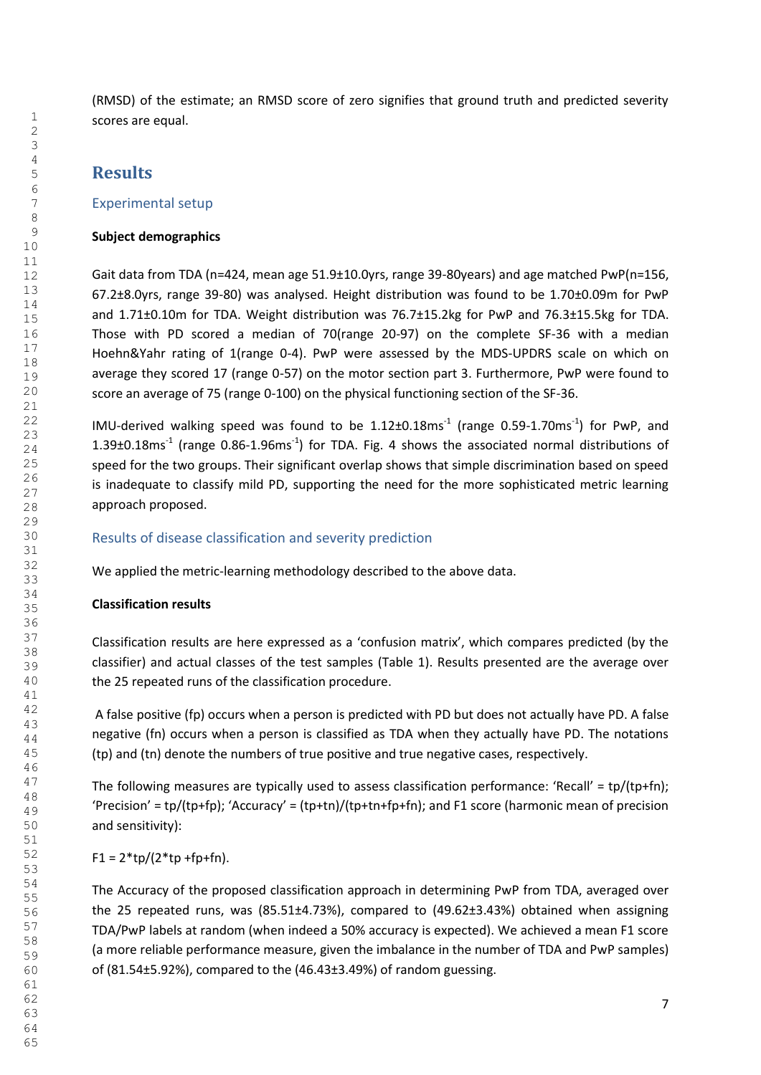(RMSD) of the estimate; an RMSD score of zero signifies that ground truth and predicted severity scores are equal.

## **Results**

#### Experimental setup

#### **Subject demographics**

Gait data from TDA (n=424, mean age 51.9±10.0yrs, range 39-80years) and age matched PwP(n=156, 67.2±8.0yrs, range 39-80) was analysed. Height distribution was found to be 1.70±0.09m for PwP and 1.71±0.10m for TDA. Weight distribution was 76.7±15.2kg for PwP and 76.3±15.5kg for TDA. Those with PD scored a median of 70(range 20-97) on the complete SF-36 with a median Hoehn&Yahr rating of 1(range 0-4). PwP were assessed by the MDS-UPDRS scale on which on average they scored 17 (range 0-57) on the motor section part 3. Furthermore, PwP were found to score an average of 75 (range 0-100) on the physical functioning section of the SF-36.

IMU-derived walking speed was found to be  $1.12\pm0.18$ ms<sup>-1</sup> (range 0.59-1.70ms<sup>-1</sup>) for PwP, and 1.39 $\pm$ 0.18ms<sup>-1</sup> (range 0.86-1.96ms<sup>-1</sup>) for TDA. Fig. 4 shows the associated normal distributions of speed for the two groups. Their significant overlap shows that simple discrimination based on speed is inadequate to classify mild PD, supporting the need for the more sophisticated metric learning approach proposed.

#### Results of disease classification and severity prediction

We applied the metric-learning methodology described to the above data.

#### **Classification results**

Classification results are here expressed as a 'confusion matrix', which compares predicted (by the classifier) and actual classes of the test samples (Table 1). Results presented are the average over the 25 repeated runs of the classification procedure.

 A false positive (fp) occurs when a person is predicted with PD but does not actually have PD. A false negative (fn) occurs when a person is classified as TDA when they actually have PD. The notations (tp) and (tn) denote the numbers of true positive and true negative cases, respectively.

The following measures are typically used to assess classification performance: 'Recall' =  $tp/(tp+fn)$ ; 'Precision' = tp/(tp+fp); 'Accuracy' = (tp+tn)/(tp+tn+fp+fn); and F1 score (harmonic mean of precision and sensitivity):

 $F1 = 2 * tp/(2 * tp + fp + fn).$ 

The Accuracy of the proposed classification approach in determining PwP from TDA, averaged over the 25 repeated runs, was (85.51±4.73%), compared to (49.62±3.43%) obtained when assigning TDA/PwP labels at random (when indeed a 50% accuracy is expected). We achieved a mean F1 score (a more reliable performance measure, given the imbalance in the number of TDA and PwP samples) of (81.54±5.92%), compared to the (46.43±3.49%) of random guessing.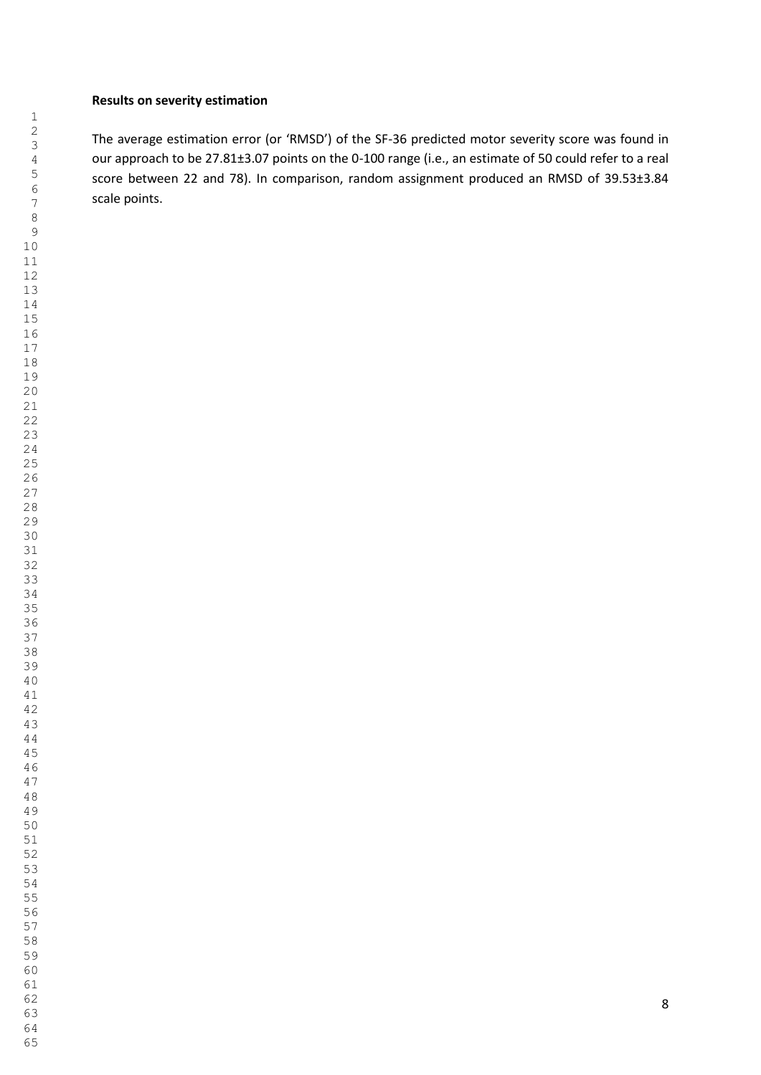#### **Results on severity estimation**

The average estimation error (or 'RMSD') of the SF-36 predicted motor severity score was found in our approach to be 27.81±3.07 points on the 0-100 range (i.e., an estimate of 50 could refer to a real score between 22 and 78). In comparison, random assignment produced an RMSD of 39.53±3.84 scale points.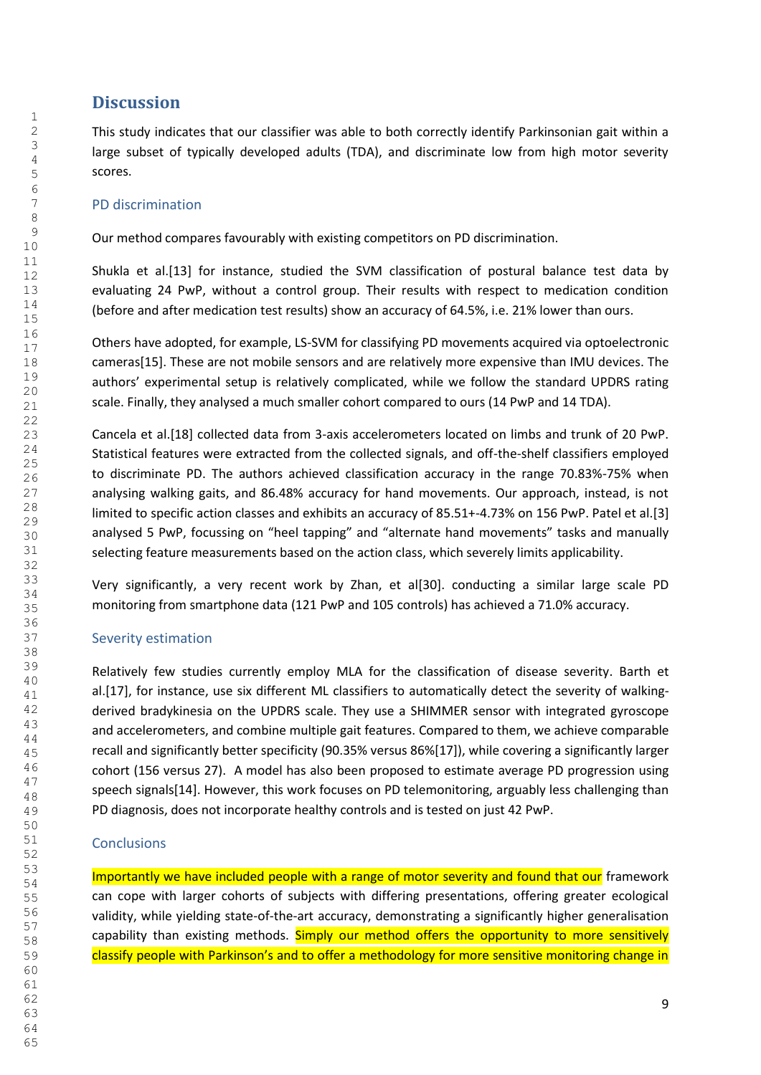## **Discussion**

This study indicates that our classifier was able to both correctly identify Parkinsonian gait within a large subset of typically developed adults (TDA), and discriminate low from high motor severity scores.

#### PD discrimination

Our method compares favourably with existing competitors on PD discrimination.

Shukla et al.[13] for instance, studied the SVM classification of postural balance test data by evaluating 24 PwP, without a control group. Their results with respect to medication condition (before and after medication test results) show an accuracy of 64.5%, i.e. 21% lower than ours.

Others have adopted, for example, LS-SVM for classifying PD movements acquired via optoelectronic cameras[15]. These are not mobile sensors and are relatively more expensive than IMU devices. The authors' experimental setup is relatively complicated, while we follow the standard UPDRS rating scale. Finally, they analysed a much smaller cohort compared to ours (14 PwP and 14 TDA).

Cancela et al.[18] collected data from 3-axis accelerometers located on limbs and trunk of 20 PwP. Statistical features were extracted from the collected signals, and off-the-shelf classifiers employed to discriminate PD. The authors achieved classification accuracy in the range 70.83%-75% when analysing walking gaits, and 86.48% accuracy for hand movements. Our approach, instead, is not limited to specific action classes and exhibits an accuracy of 85.51+-4.73% on 156 PwP. Patel et al.[3] analysed 5 PwP, focussing on "heel tapping" and "alternate hand movements" tasks and manually selecting feature measurements based on the action class, which severely limits applicability.

Very significantly, a very recent work by Zhan, et al[30]. conducting a similar large scale PD monitoring from smartphone data (121 PwP and 105 controls) has achieved a 71.0% accuracy.

### Severity estimation

Relatively few studies currently employ MLA for the classification of disease severity. Barth et al.[17], for instance, use six different ML classifiers to automatically detect the severity of walkingderived bradykinesia on the UPDRS scale. They use a SHIMMER sensor with integrated gyroscope and accelerometers, and combine multiple gait features. Compared to them, we achieve comparable recall and significantly better specificity (90.35% versus 86%[17]), while covering a significantly larger cohort (156 versus 27). A model has also been proposed to estimate average PD progression using speech signals[14]. However, this work focuses on PD telemonitoring, arguably less challenging than PD diagnosis, does not incorporate healthy controls and is tested on just 42 PwP.

### **Conclusions**

Importantly we have included people with a range of motor severity and found that our framework can cope with larger cohorts of subjects with differing presentations, offering greater ecological validity, while yielding state-of-the-art accuracy, demonstrating a significantly higher generalisation capability than existing methods. Simply our method offers the opportunity to more sensitively classify people with Parkinson's and to offer a methodology for more sensitive monitoring change in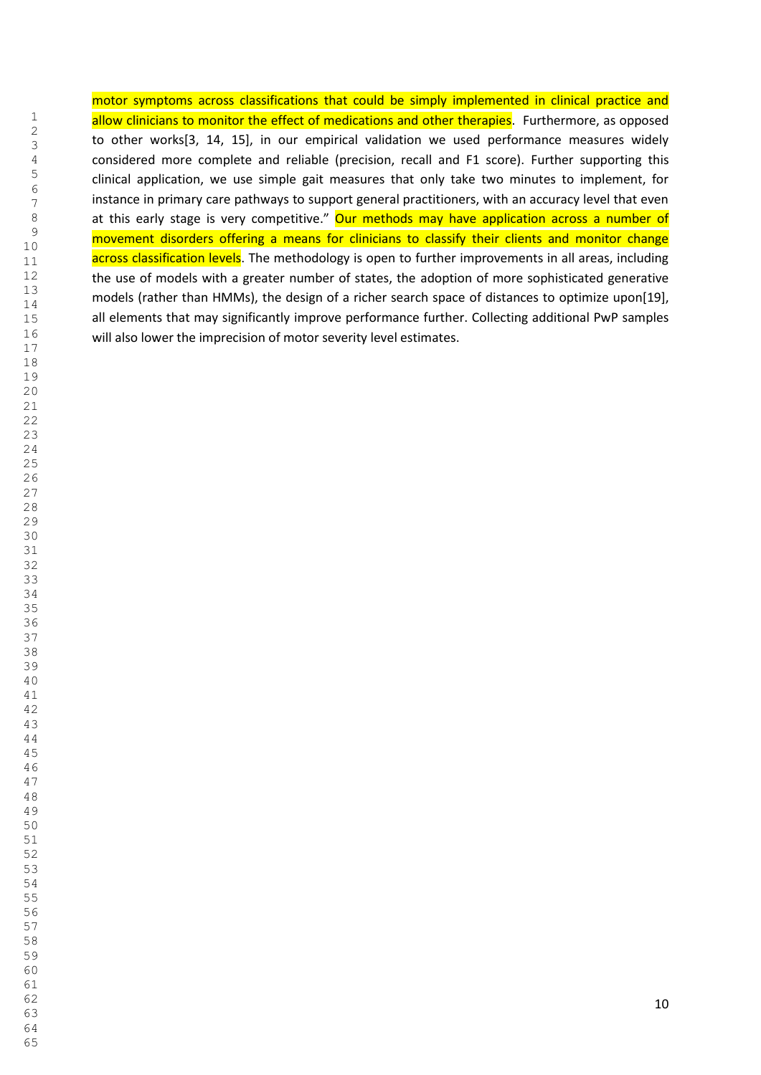motor symptoms across classifications that could be simply implemented in clinical practice and allow clinicians to monitor the effect of medications and other therapies. Furthermore, as opposed to other works[3, 14, 15], in our empirical validation we used performance measures widely considered more complete and reliable (precision, recall and F1 score). Further supporting this clinical application, we use simple gait measures that only take two minutes to implement, for instance in primary care pathways to support general practitioners, with an accuracy level that even at this early stage is very competitive." Our methods may have application across a number of movement disorders offering a means for clinicians to classify their clients and monitor change across classification levels. The methodology is open to further improvements in all areas, including the use of models with a greater number of states, the adoption of more sophisticated generative models (rather than HMMs), the design of a richer search space of distances to optimize upon[19], all elements that may significantly improve performance further. Collecting additional PwP samples will also lower the imprecision of motor severity level estimates.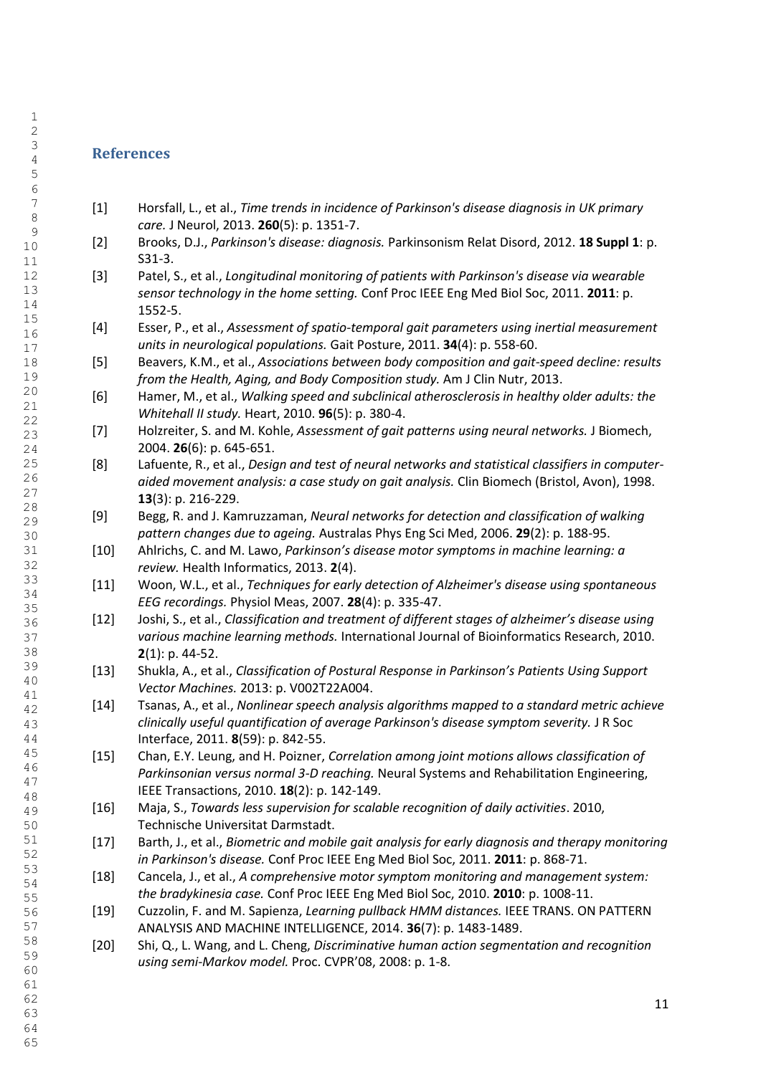### **References**

- [1] Horsfall, L., et al., *Time trends in incidence of Parkinson's disease diagnosis in UK primary care.* J Neurol, 2013. **260**(5): p. 1351-7.
- [2] Brooks, D.J., *Parkinson's disease: diagnosis.* Parkinsonism Relat Disord, 2012. **18 Suppl 1**: p. S31-3.
- [3] Patel, S., et al., *Longitudinal monitoring of patients with Parkinson's disease via wearable sensor technology in the home setting.* Conf Proc IEEE Eng Med Biol Soc, 2011. **2011**: p. 1552-5.
- [4] Esser, P., et al., *Assessment of spatio-temporal gait parameters using inertial measurement units in neurological populations.* Gait Posture, 2011. **34**(4): p. 558-60.
- [5] Beavers, K.M., et al., *Associations between body composition and gait-speed decline: results from the Health, Aging, and Body Composition study.* Am J Clin Nutr, 2013.
- [6] Hamer, M., et al., *Walking speed and subclinical atherosclerosis in healthy older adults: the Whitehall II study.* Heart, 2010. **96**(5): p. 380-4.
- [7] Holzreiter, S. and M. Kohle, *Assessment of gait patterns using neural networks.* J Biomech, 2004. **26**(6): p. 645-651.
- [8] Lafuente, R., et al., *Design and test of neural networks and statistical classifiers in computeraided movement analysis: a case study on gait analysis.* Clin Biomech (Bristol, Avon), 1998. (3): p. 216-229.
- [9] Begg, R. and J. Kamruzzaman, *Neural networks for detection and classification of walking pattern changes due to ageing.* Australas Phys Eng Sci Med, 2006. **29**(2): p. 188-95.
- [10] Ahlrichs, C. and M. Lawo, *Parkinson's disease motor symptoms in machine learning: a review.* Health Informatics, 2013. **2**(4).
- [11] Woon, W.L., et al., *Techniques for early detection of Alzheimer's disease using spontaneous EEG recordings.* Physiol Meas, 2007. **28**(4): p. 335-47.
- [12] Joshi, S., et al., *Classification and treatment of different stages of alzheimer's disease using various machine learning methods.* International Journal of Bioinformatics Research, 2010. (1): p. 44-52.
- [13] Shukla, A., et al., *Classification of Postural Response in Parkinson's Patients Using Support Vector Machines.* 2013: p. V002T22A004.
- [14] Tsanas, A., et al., *Nonlinear speech analysis algorithms mapped to a standard metric achieve clinically useful quantification of average Parkinson's disease symptom severity.* J R Soc Interface, 2011. **8**(59): p. 842-55.
- [15] Chan, E.Y. Leung, and H. Poizner, *Correlation among joint motions allows classification of Parkinsonian versus normal 3-D reaching.* Neural Systems and Rehabilitation Engineering, IEEE Transactions, 2010. **18**(2): p. 142-149.
- [16] Maja, S., *Towards less supervision for scalable recognition of daily activities*. 2010, Technische Universitat Darmstadt.
- [17] Barth, J., et al., *Biometric and mobile gait analysis for early diagnosis and therapy monitoring in Parkinson's disease.* Conf Proc IEEE Eng Med Biol Soc, 2011. **2011**: p. 868-71.
- [18] Cancela, J., et al., *A comprehensive motor symptom monitoring and management system: the bradykinesia case.* Conf Proc IEEE Eng Med Biol Soc, 2010. **2010**: p. 1008-11.
- [19] Cuzzolin, F. and M. Sapienza, *Learning pullback HMM distances.* IEEE TRANS. ON PATTERN ANALYSIS AND MACHINE INTELLIGENCE, 2014. **36**(7): p. 1483-1489.
	- [20] Shi, Q., L. Wang, and L. Cheng, *Discriminative human action segmentation and recognition using semi-Markov model.* Proc. CVPR'08, 2008: p. 1-8.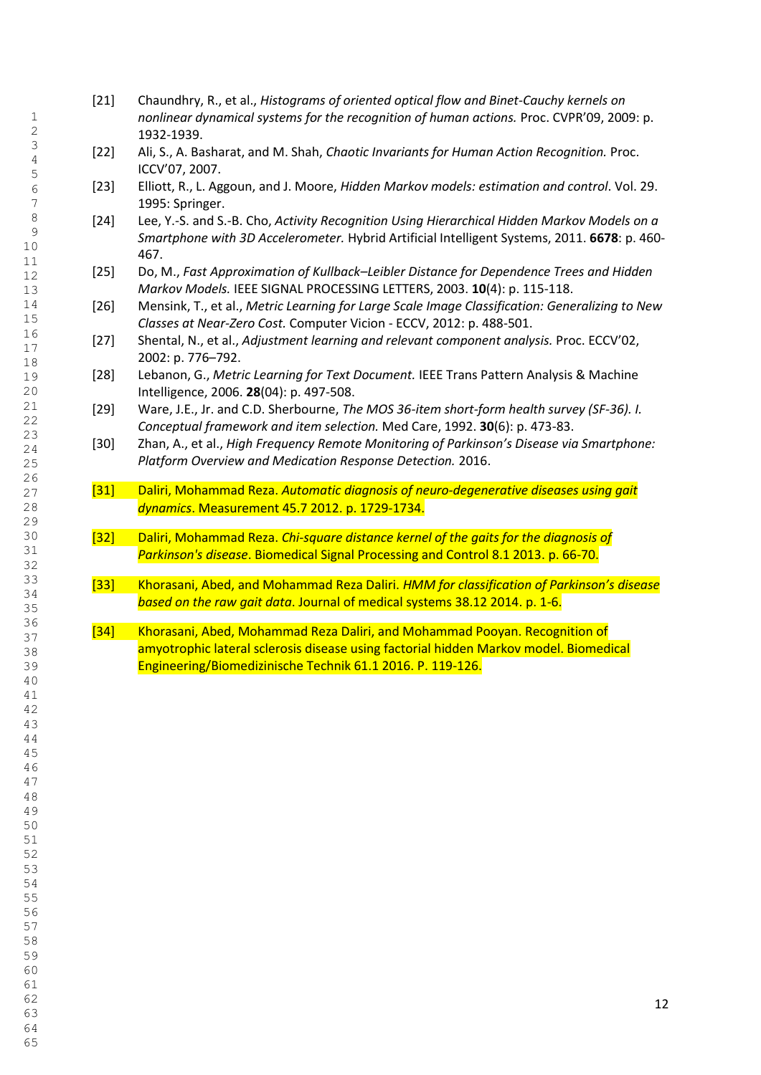- [21] Chaundhry, R., et al., *Histograms of oriented optical flow and Binet-Cauchy kernels on nonlinear dynamical systems for the recognition of human actions.* Proc. CVPR'09, 2009: p. 1932-1939.
- [22] Ali, S., A. Basharat, and M. Shah, *Chaotic Invariants for Human Action Recognition.* Proc. ICCV'07, 2007.
- [23] Elliott, R., L. Aggoun, and J. Moore, *Hidden Markov models: estimation and control*. Vol. 29. 1995: Springer.
- [24] Lee, Y.-S. and S.-B. Cho, *Activity Recognition Using Hierarchical Hidden Markov Models on a Smartphone with 3D Accelerometer.* Hybrid Artificial Intelligent Systems, 2011. **6678**: p. 460- 467.
- [25] Do, M., *Fast Approximation of Kullback–Leibler Distance for Dependence Trees and Hidden Markov Models.* IEEE SIGNAL PROCESSING LETTERS, 2003. **10**(4): p. 115-118.
- [26] Mensink, T., et al., *Metric Learning for Large Scale Image Classification: Generalizing to New Classes at Near-Zero Cost.* Computer Vicion - ECCV, 2012: p. 488-501.
- [27] Shental, N., et al., *Adjustment learning and relevant component analysis.* Proc. ECCV'02, 2002: p. 776–792.
- [28] Lebanon, G., *Metric Learning for Text Document.* IEEE Trans Pattern Analysis & Machine Intelligence, 2006. **28**(04): p. 497-508.
- [29] Ware, J.E., Jr. and C.D. Sherbourne, *The MOS 36-item short-form health survey (SF-36). I. Conceptual framework and item selection.* Med Care, 1992. **30**(6): p. 473-83.
- [30] Zhan, A., et al., *High Frequency Remote Monitoring of Parkinson's Disease via Smartphone: Platform Overview and Medication Response Detection.* 2016.
- [31] Daliri, Mohammad Reza. *Automatic diagnosis of neuro-degenerative diseases using gait dynamics*. Measurement 45.7 2012. p. 1729-1734.
- [32] Daliri, Mohammad Reza. *Chi-square distance kernel of the gaits for the diagnosis of Parkinson's disease*. Biomedical Signal Processing and Control 8.1 2013. p. 66-70.
- [33] Khorasani, Abed, and Mohammad Reza Daliri. *HMM for classification of Parkinson's disease based on the raw gait data*. Journal of medical systems 38.12 2014. p. 1-6.
- [34] Khorasani, Abed, Mohammad Reza Daliri, and Mohammad Pooyan. Recognition of amyotrophic lateral sclerosis disease using factorial hidden Markov model. Biomedical Engineering/Biomedizinische Technik 61.1 2016. P. 119-126.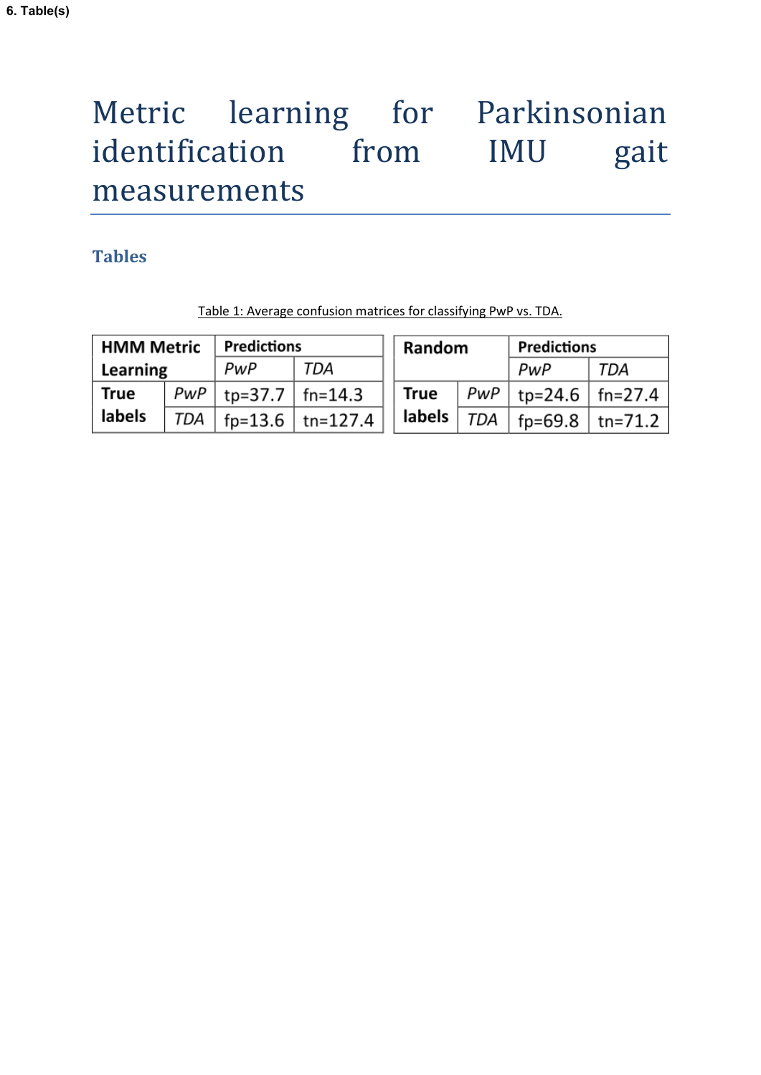# Metric learning for Parkinsonian identification from IMU gait measurements

# **Tables**

| <b>HMM Metric</b> |     | <b>Predictions</b>        |                    | Random |     | <b>Predictions</b>        |     |
|-------------------|-----|---------------------------|--------------------|--------|-----|---------------------------|-----|
| Learning          |     | PwP                       | TDA                |        |     | PwP                       | TDA |
| True              |     | $PWP$   tp=37.7   fn=14.3 |                    | True   |     | $ PWP $ tp=24.6   fn=27.4 |     |
| labels            | TDA |                           | fp=13.6   tn=127.4 | labels | TDA | fp=69.8   tn=71.2         |     |

Table 1: Average confusion matrices for classifying PwP vs. TDA.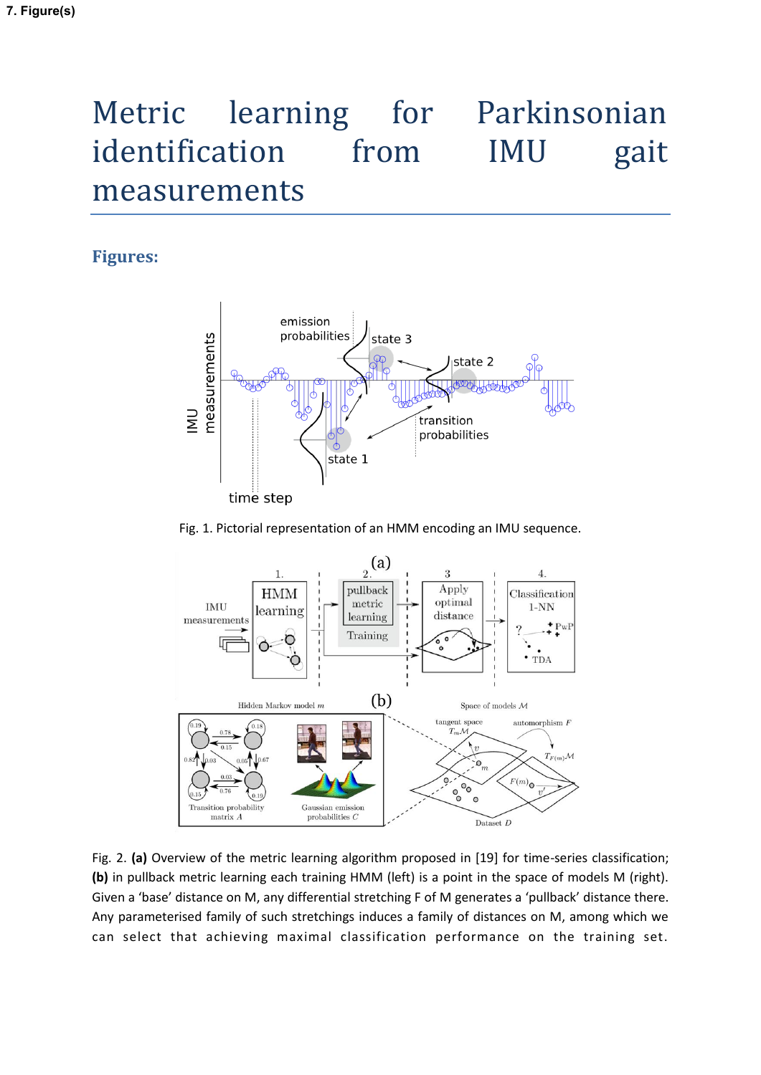# Metric learning for Parkinsonian identification from IMU gait measurements

# **Figures:**



#### Fig. 1. Pictorial representation of an HMM encoding an IMU sequence.



Fig. 2. **(a)** Overview of the metric learning algorithm proposed in [19] for time-series classification; **(b)** in pullback metric learning each training HMM (left) is a point in the space of models M (right). Given a 'base' distance on M, any differential stretching F of M generates a 'pullback' distance there. Any parameterised family of such stretchings induces a family of distances on M, among which we can select that achieving maximal classification performance on the training set.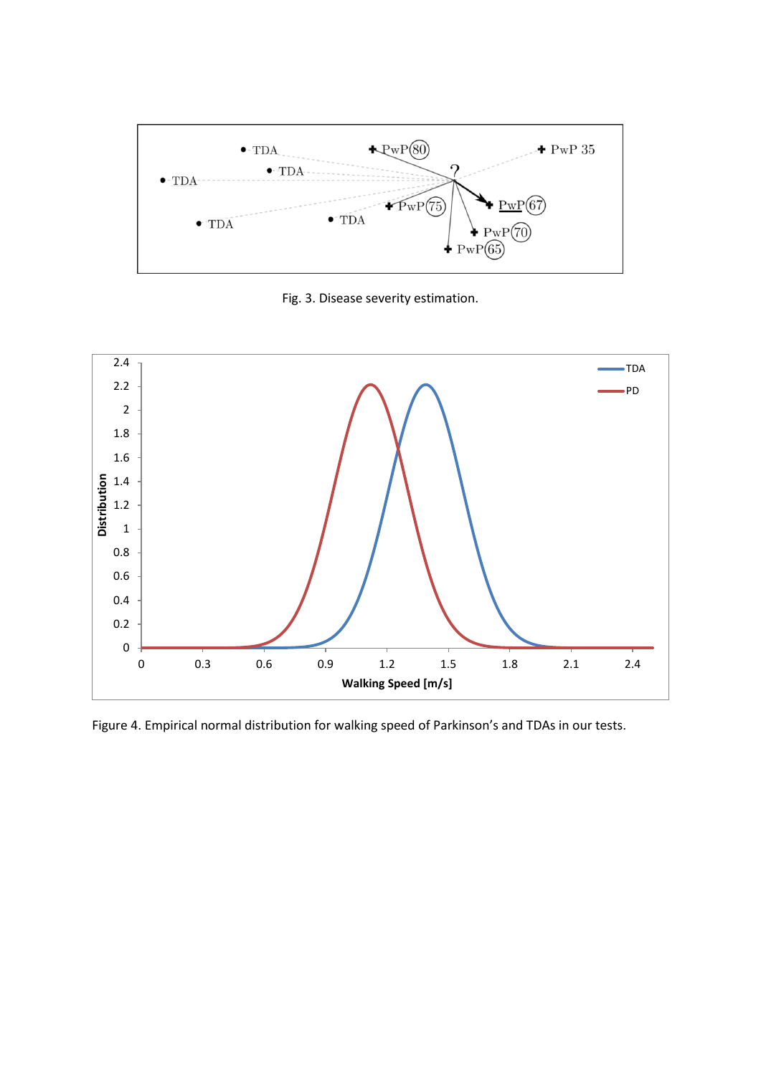

Fig. 3. Disease severity estimation.



Figure 4. Empirical normal distribution for walking speed of Parkinson's and TDAs in our tests.